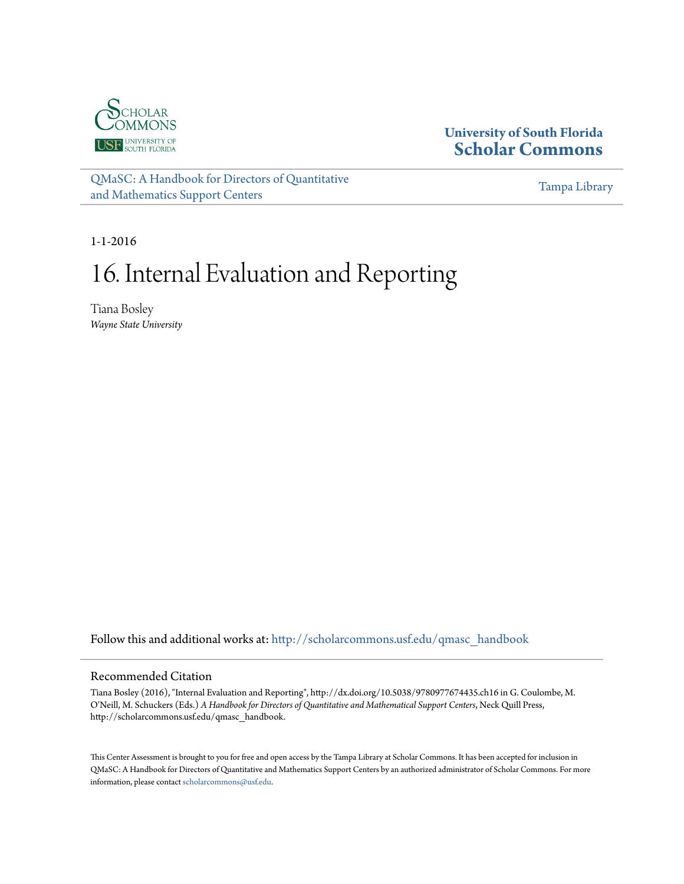

#### **University of South Florida [Scholar Commons](http://scholarcommons.usf.edu?utm_source=scholarcommons.usf.edu%2Fqmasc_handbook%2F16&utm_medium=PDF&utm_campaign=PDFCoverPages)**

[QMaSC: A Handbook for Directors of Quantitative](http://scholarcommons.usf.edu/qmasc_handbook?utm_source=scholarcommons.usf.edu%2Fqmasc_handbook%2F16&utm_medium=PDF&utm_campaign=PDFCoverPages) [and Mathematics Support Centers](http://scholarcommons.usf.edu/qmasc_handbook?utm_source=scholarcommons.usf.edu%2Fqmasc_handbook%2F16&utm_medium=PDF&utm_campaign=PDFCoverPages)

[Tampa Library](http://scholarcommons.usf.edu/tlib?utm_source=scholarcommons.usf.edu%2Fqmasc_handbook%2F16&utm_medium=PDF&utm_campaign=PDFCoverPages)

1-1-2016

# 16. Internal Evaluation and Reporting

Tiana Bosley *Wayne State University*

Follow this and additional works at: [http://scholarcommons.usf.edu/qmasc\\_handbook](http://scholarcommons.usf.edu/qmasc_handbook?utm_source=scholarcommons.usf.edu%2Fqmasc_handbook%2F16&utm_medium=PDF&utm_campaign=PDFCoverPages)

#### Recommended Citation

Tiana Bosley (2016), "Internal Evaluation and Reporting", http://dx.doi.org/10.5038/9780977674435.ch16 in G. Coulombe, M. O'Neill, M. Schuckers (Eds.) *A Handbook for Directors of Quantitative and Mathematical Support Centers*, Neck Quill Press, http://scholarcommons.usf.edu/qmasc\_handbook.

This Center Assessment is brought to you for free and open access by the Tampa Library at Scholar Commons. It has been accepted for inclusion in QMaSC: A Handbook for Directors of Quantitative and Mathematics Support Centers by an authorized administrator of Scholar Commons. For more information, please contact [scholarcommons@usf.edu.](mailto:scholarcommons@usf.edu)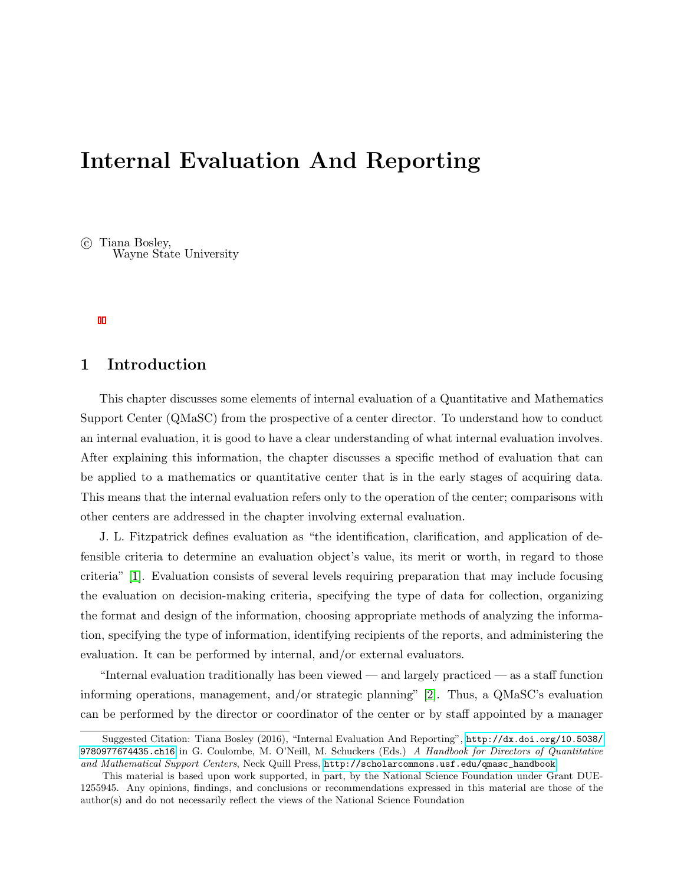# Internal Evaluation And Reporting

 $\odot$  Tiana Bosley, Wayne State University

### 1 Introduction

This chapter discusses some elements of internal evaluation of a Quantitative and Mathematics Support Center (QMaSC) from the prospective of a center director. To understand how to conduct an internal evaluation, it is good to have a clear understanding of what internal evaluation involves. After explaining this information, the chapter discusses a specific method of evaluation that can be applied to a mathematics or quantitative center that is in the early stages of acquiring data. This means that the internal evaluation refers only to the operation of the center; comparisons with other centers are addressed in the chapter involving external evaluation.

J. L. Fitzpatrick defines evaluation as "the identification, clarification, and application of defensible criteria to determine an evaluation object's value, its merit or worth, in regard to those criteria" [1]. Evaluation consists of several levels requiring preparation that may include focusing the evaluation on decision-making criteria, specifying the type of data for collection, organizing the format and design of the information, choosing appropriate methods of analyzing the information, specifying the type of information, identifying recipients of the reports, and administering the evaluation. It can be performed by internal, and/or external evaluators.

"Internal evaluation traditionally has been viewed — and largely practiced — as a staff function informing operations, management, and/or strategic planning" [2]. Thus, a QMaSC's evaluation can be performed by the director or coordinator of the center or by staff appointed by a manager

Suggested Citation: Tiana Bosley (2016), "Internal Evaluation And Reporting", [http://dx.doi.org/10.5038/](http://dx.doi.org/10.5038/9780977674435.ch16) [9780977674435.ch16](http://dx.doi.org/10.5038/9780977674435.ch16) in G. Coulombe, M. O'Neill, M. Schuckers (Eds.) A Handbook for Directors of Quantitative and Mathematical Support Centers, Neck Quill Press, [http://scholarcommons.usf.edu/qmasc\\_handbook](http://scholarcommons.usf.edu/qmasc_handbook).

This material is based upon work supported, in part, by the National Science Foundation under Grant DUE-1255945. Any opinions, findings, and conclusions or recommendations expressed in this material are those of the author(s) and do not necessarily reflect the views of the National Science Foundation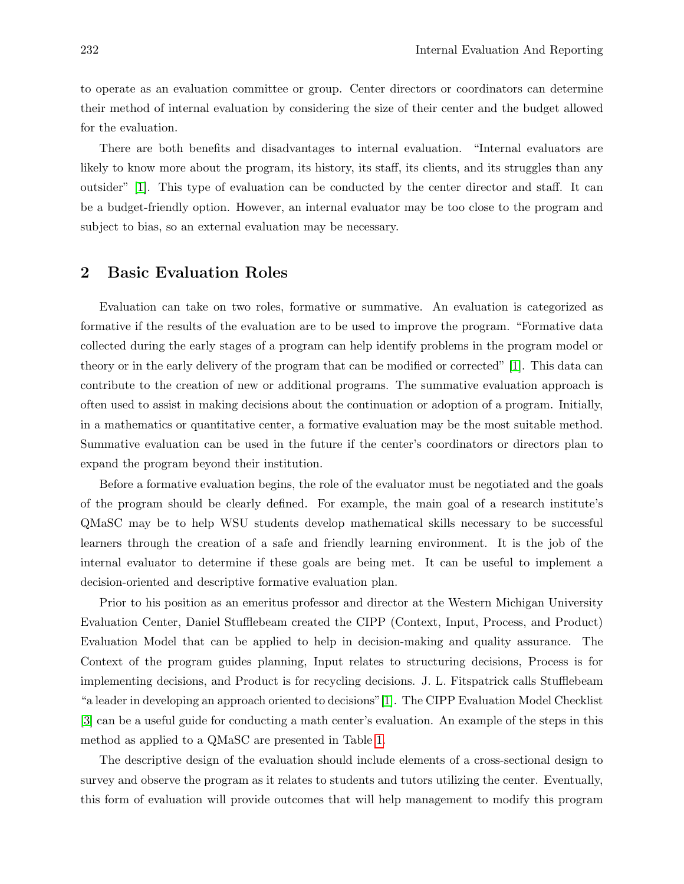to operate as an evaluation committee or group. Center directors or coordinators can determine their method of internal evaluation by considering the size of their center and the budget allowed for the evaluation.

There are both benefits and disadvantages to internal evaluation. "Internal evaluators are likely to know more about the program, its history, its staff, its clients, and its struggles than any outsider" [1]. This type of evaluation can be conducted by the center director and staff. It can be a budget-friendly option. However, an internal evaluator may be too close to the program and subject to bias, so an external evaluation may be necessary.

#### 2 Basic Evaluation Roles

Evaluation can take on two roles, formative or summative. An evaluation is categorized as formative if the results of the evaluation are to be used to improve the program. "Formative data collected during the early stages of a program can help identify problems in the program model or theory or in the early delivery of the program that can be modified or corrected" [1]. This data can contribute to the creation of new or additional programs. The summative evaluation approach is often used to assist in making decisions about the continuation or adoption of a program. Initially, in a mathematics or quantitative center, a formative evaluation may be the most suitable method. Summative evaluation can be used in the future if the center's coordinators or directors plan to expand the program beyond their institution.

Before a formative evaluation begins, the role of the evaluator must be negotiated and the goals of the program should be clearly defined. For example, the main goal of a research institute's QMaSC may be to help WSU students develop mathematical skills necessary to be successful learners through the creation of a safe and friendly learning environment. It is the job of the internal evaluator to determine if these goals are being met. It can be useful to implement a decision-oriented and descriptive formative evaluation plan.

Prior to his position as an emeritus professor and director at the Western Michigan University Evaluation Center, Daniel Stufflebeam created the CIPP (Context, Input, Process, and Product) Evaluation Model that can be applied to help in decision-making and quality assurance. The Context of the program guides planning, Input relates to structuring decisions, Process is for implementing decisions, and Product is for recycling decisions. J. L. Fitspatrick calls Stufflebeam "a leader in developing an approach oriented to decisions"[1]. The CIPP Evaluation Model Checklist [3] can be a useful guide for conducting a math center's evaluation. An example of the steps in this method as applied to a QMaSC are presented in Table 1.

The descriptive design of the evaluation should include elements of a cross-sectional design to survey and observe the program as it relates to students and tutors utilizing the center. Eventually, this form of evaluation will provide outcomes that will help management to modify this program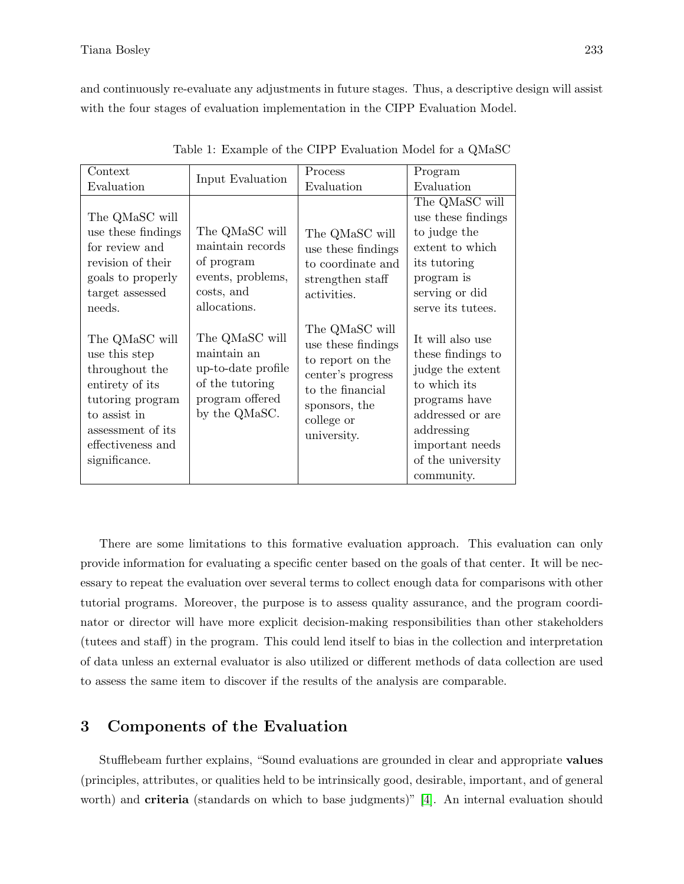and continuously re-evaluate any adjustments in future stages. Thus, a descriptive design will assist with the four stages of evaluation implementation in the CIPP Evaluation Model.

| Context                                                                                                                                                             |                                                                                                            | Process                                                                                                                                         | Program                                                                                                                                                                            |
|---------------------------------------------------------------------------------------------------------------------------------------------------------------------|------------------------------------------------------------------------------------------------------------|-------------------------------------------------------------------------------------------------------------------------------------------------|------------------------------------------------------------------------------------------------------------------------------------------------------------------------------------|
| Evaluation                                                                                                                                                          | Input Evaluation                                                                                           | Evaluation                                                                                                                                      | Evaluation                                                                                                                                                                         |
| The QMaSC will<br>use these findings<br>for review and<br>revision of their<br>goals to properly<br>target assessed<br>needs.                                       | The QMaSC will<br>maintain records<br>of program<br>events, problems,<br>costs, and<br>allocations.        | The QMaSC will<br>use these findings<br>to coordinate and<br>strengthen staff<br>activities.                                                    | The QMaSC will<br>use these findings<br>to judge the<br>extent to which<br>its tutoring<br>program is<br>serving or did<br>serve its tutees.                                       |
| The QMaSC will<br>use this step<br>throughout the<br>entirety of its<br>tutoring program<br>to assist in<br>assessment of its<br>effectiveness and<br>significance. | The QMaSC will<br>maintain an<br>up-to-date profile<br>of the tutoring<br>program offered<br>by the QMaSC. | The QMaSC will<br>use these findings<br>to report on the<br>center's progress<br>to the financial<br>sponsors, the<br>college or<br>university. | It will also use<br>these findings to<br>judge the extent<br>to which its<br>programs have<br>addressed or are<br>addressing<br>important needs<br>of the university<br>community. |

Table 1: Example of the CIPP Evaluation Model for a QMaSC

There are some limitations to this formative evaluation approach. This evaluation can only provide information for evaluating a specific center based on the goals of that center. It will be necessary to repeat the evaluation over several terms to collect enough data for comparisons with other tutorial programs. Moreover, the purpose is to assess quality assurance, and the program coordinator or director will have more explicit decision-making responsibilities than other stakeholders (tutees and staff) in the program. This could lend itself to bias in the collection and interpretation of data unless an external evaluator is also utilized or different methods of data collection are used to assess the same item to discover if the results of the analysis are comparable.

#### 3 Components of the Evaluation

Stufflebeam further explains, "Sound evaluations are grounded in clear and appropriate values (principles, attributes, or qualities held to be intrinsically good, desirable, important, and of general worth) and **criteria** (standards on which to base judgments)" [4]. An internal evaluation should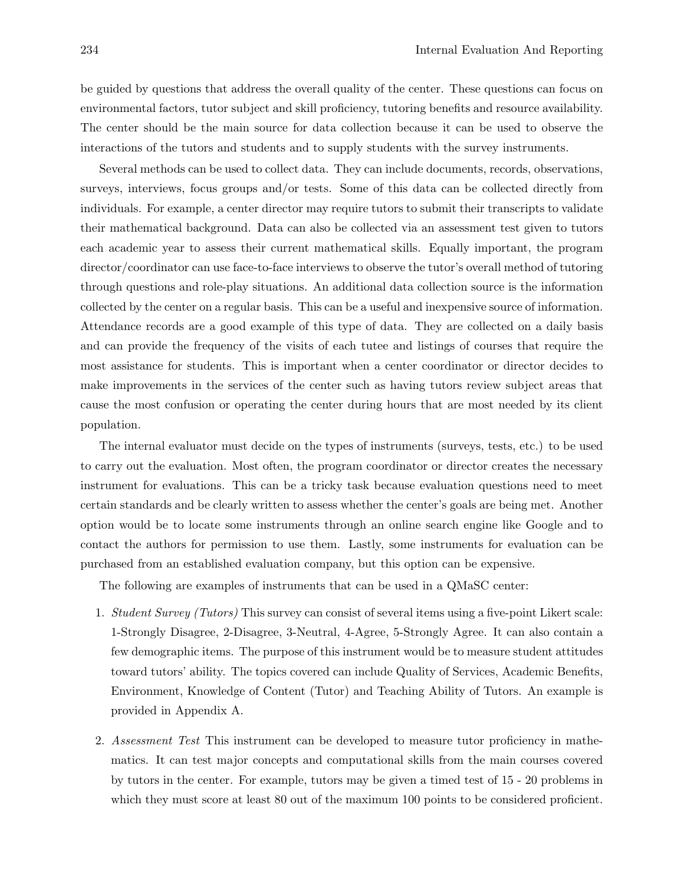be guided by questions that address the overall quality of the center. These questions can focus on environmental factors, tutor subject and skill proficiency, tutoring benefits and resource availability. The center should be the main source for data collection because it can be used to observe the interactions of the tutors and students and to supply students with the survey instruments.

Several methods can be used to collect data. They can include documents, records, observations, surveys, interviews, focus groups and/or tests. Some of this data can be collected directly from individuals. For example, a center director may require tutors to submit their transcripts to validate their mathematical background. Data can also be collected via an assessment test given to tutors each academic year to assess their current mathematical skills. Equally important, the program director/coordinator can use face-to-face interviews to observe the tutor's overall method of tutoring through questions and role-play situations. An additional data collection source is the information collected by the center on a regular basis. This can be a useful and inexpensive source of information. Attendance records are a good example of this type of data. They are collected on a daily basis and can provide the frequency of the visits of each tutee and listings of courses that require the most assistance for students. This is important when a center coordinator or director decides to make improvements in the services of the center such as having tutors review subject areas that cause the most confusion or operating the center during hours that are most needed by its client population.

The internal evaluator must decide on the types of instruments (surveys, tests, etc.) to be used to carry out the evaluation. Most often, the program coordinator or director creates the necessary instrument for evaluations. This can be a tricky task because evaluation questions need to meet certain standards and be clearly written to assess whether the center's goals are being met. Another option would be to locate some instruments through an online search engine like Google and to contact the authors for permission to use them. Lastly, some instruments for evaluation can be purchased from an established evaluation company, but this option can be expensive.

The following are examples of instruments that can be used in a QMaSC center:

- 1. Student Survey (Tutors) This survey can consist of several items using a five-point Likert scale: 1-Strongly Disagree, 2-Disagree, 3-Neutral, 4-Agree, 5-Strongly Agree. It can also contain a few demographic items. The purpose of this instrument would be to measure student attitudes toward tutors' ability. The topics covered can include Quality of Services, Academic Benefits, Environment, Knowledge of Content (Tutor) and Teaching Ability of Tutors. An example is provided in Appendix A.
- 2. Assessment Test This instrument can be developed to measure tutor proficiency in mathematics. It can test major concepts and computational skills from the main courses covered by tutors in the center. For example, tutors may be given a timed test of 15 - 20 problems in which they must score at least 80 out of the maximum 100 points to be considered proficient.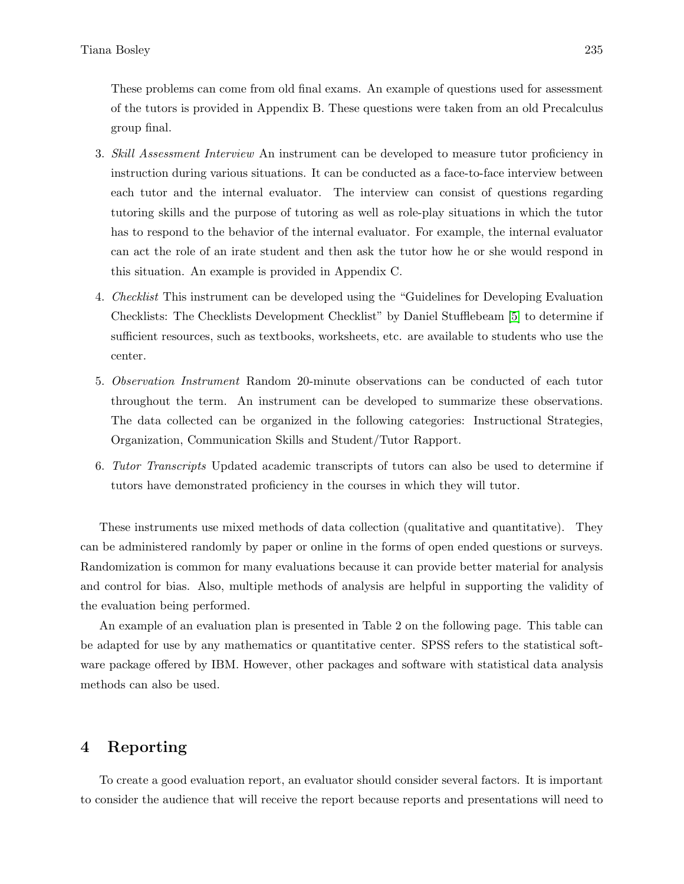These problems can come from old final exams. An example of questions used for assessment of the tutors is provided in Appendix B. These questions were taken from an old Precalculus group final.

- 3. Skill Assessment Interview An instrument can be developed to measure tutor proficiency in instruction during various situations. It can be conducted as a face-to-face interview between each tutor and the internal evaluator. The interview can consist of questions regarding tutoring skills and the purpose of tutoring as well as role-play situations in which the tutor has to respond to the behavior of the internal evaluator. For example, the internal evaluator can act the role of an irate student and then ask the tutor how he or she would respond in this situation. An example is provided in Appendix C.
- 4. Checklist This instrument can be developed using the "Guidelines for Developing Evaluation Checklists: The Checklists Development Checklist" by Daniel Stufflebeam [5] to determine if sufficient resources, such as textbooks, worksheets, etc. are available to students who use the center.
- 5. Observation Instrument Random 20-minute observations can be conducted of each tutor throughout the term. An instrument can be developed to summarize these observations. The data collected can be organized in the following categories: Instructional Strategies, Organization, Communication Skills and Student/Tutor Rapport.
- 6. Tutor Transcripts Updated academic transcripts of tutors can also be used to determine if tutors have demonstrated proficiency in the courses in which they will tutor.

These instruments use mixed methods of data collection (qualitative and quantitative). They can be administered randomly by paper or online in the forms of open ended questions or surveys. Randomization is common for many evaluations because it can provide better material for analysis and control for bias. Also, multiple methods of analysis are helpful in supporting the validity of the evaluation being performed.

An example of an evaluation plan is presented in Table 2 on the following page. This table can be adapted for use by any mathematics or quantitative center. SPSS refers to the statistical software package offered by IBM. However, other packages and software with statistical data analysis methods can also be used.

#### 4 Reporting

To create a good evaluation report, an evaluator should consider several factors. It is important to consider the audience that will receive the report because reports and presentations will need to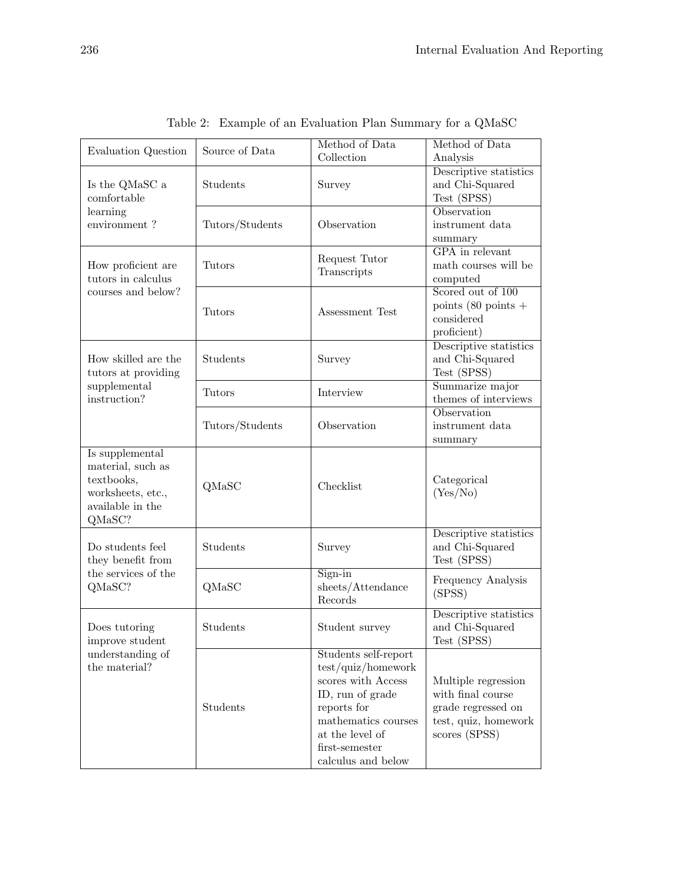| Evaluation Question                                                                                   | Source of Data                 | Method of Data<br>Collection                                                                                                                                                          | Method of Data<br>Analysis                                                                              |
|-------------------------------------------------------------------------------------------------------|--------------------------------|---------------------------------------------------------------------------------------------------------------------------------------------------------------------------------------|---------------------------------------------------------------------------------------------------------|
| Is the QMaSC a<br>comfortable                                                                         | Students                       | Survey                                                                                                                                                                                | Descriptive statistics<br>and Chi-Squared<br>Test (SPSS)                                                |
| learning<br>environment?                                                                              | Observation<br>Tutors/Students |                                                                                                                                                                                       | Observation<br>instrument data<br>summary                                                               |
| How proficient are<br>tutors in calculus<br>courses and below?                                        | <b>Tutors</b>                  | Request Tutor<br>Transcripts                                                                                                                                                          | <b>GPA</b> in relevant<br>math courses will be<br>computed                                              |
|                                                                                                       | <b>Tutors</b>                  | Assessment Test                                                                                                                                                                       | Scored out of 100<br>points $(80 \text{ points } +$<br>considered<br>proficient)                        |
| How skilled are the<br>tutors at providing<br>supplemental<br>instruction?                            | Students                       | Survey                                                                                                                                                                                | Descriptive statistics<br>and Chi-Squared<br>Test (SPSS)                                                |
|                                                                                                       | <b>Tutors</b>                  | Interview                                                                                                                                                                             | Summarize major<br>themes of interviews                                                                 |
|                                                                                                       | Tutors/Students                | Observation                                                                                                                                                                           | Observation<br>instrument data<br>summary                                                               |
| Is supplemental<br>material, such as<br>textbooks,<br>worksheets, etc.,<br>available in the<br>QMaSC? | QMaSC                          | Checklist                                                                                                                                                                             | Categorical<br>(Yes/No)                                                                                 |
| Do students feel<br>they benefit from<br>the services of the<br>QMaSC?                                | Students                       | Survey                                                                                                                                                                                | Descriptive statistics<br>and Chi-Squared<br>Test (SPSS)                                                |
|                                                                                                       | QMaSC                          | $Sign-in$<br>sheets/Attendance<br>Records                                                                                                                                             | Frequency Analysis<br>(SPSS)                                                                            |
| Does tutoring<br>improve student                                                                      | Students                       | Student survey                                                                                                                                                                        | Descriptive statistics<br>and Chi-Squared<br>Test (SPSS)                                                |
| understanding of<br>the material?                                                                     | Students                       | Students self-report<br>test/quiz/homework<br>scores with Access<br>ID, run of grade<br>reports for<br>mathematics courses<br>at the level of<br>first-semester<br>calculus and below | Multiple regression<br>with final course<br>grade regressed on<br>test, quiz, homework<br>scores (SPSS) |

Table 2: Example of an Evaluation Plan Summary for a QMaSC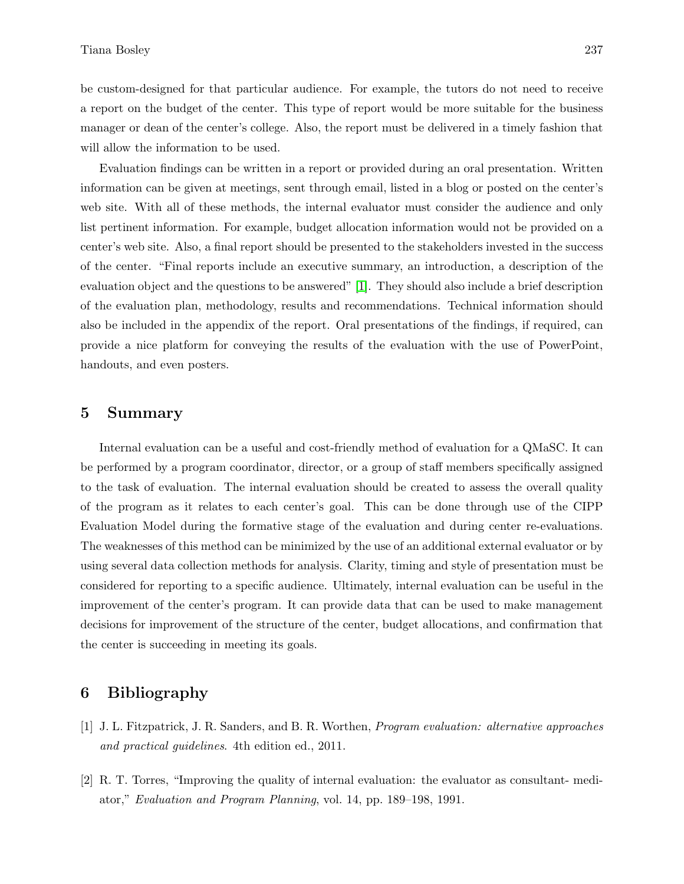be custom-designed for that particular audience. For example, the tutors do not need to receive a report on the budget of the center. This type of report would be more suitable for the business manager or dean of the center's college. Also, the report must be delivered in a timely fashion that will allow the information to be used.

Evaluation findings can be written in a report or provided during an oral presentation. Written information can be given at meetings, sent through email, listed in a blog or posted on the center's web site. With all of these methods, the internal evaluator must consider the audience and only list pertinent information. For example, budget allocation information would not be provided on a center's web site. Also, a final report should be presented to the stakeholders invested in the success of the center. "Final reports include an executive summary, an introduction, a description of the evaluation object and the questions to be answered" [1]. They should also include a brief description of the evaluation plan, methodology, results and recommendations. Technical information should also be included in the appendix of the report. Oral presentations of the findings, if required, can provide a nice platform for conveying the results of the evaluation with the use of PowerPoint, handouts, and even posters.

#### 5 Summary

Internal evaluation can be a useful and cost-friendly method of evaluation for a QMaSC. It can be performed by a program coordinator, director, or a group of staff members specifically assigned to the task of evaluation. The internal evaluation should be created to assess the overall quality of the program as it relates to each center's goal. This can be done through use of the CIPP Evaluation Model during the formative stage of the evaluation and during center re-evaluations. The weaknesses of this method can be minimized by the use of an additional external evaluator or by using several data collection methods for analysis. Clarity, timing and style of presentation must be considered for reporting to a specific audience. Ultimately, internal evaluation can be useful in the improvement of the center's program. It can provide data that can be used to make management decisions for improvement of the structure of the center, budget allocations, and confirmation that the center is succeeding in meeting its goals.

#### 6 Bibliography

- [1] J. L. Fitzpatrick, J. R. Sanders, and B. R. Worthen, Program evaluation: alternative approaches and practical guidelines. 4th edition ed., 2011.
- [2] R. T. Torres, "Improving the quality of internal evaluation: the evaluator as consultant- mediator," Evaluation and Program Planning, vol. 14, pp. 189–198, 1991.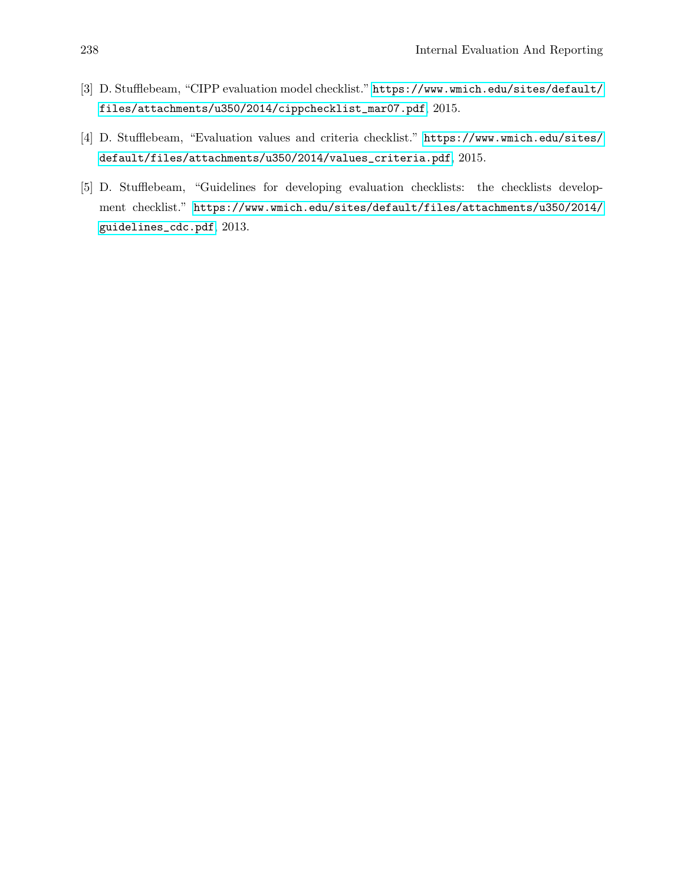- [3] D. Stufflebeam, "CIPP evaluation model checklist." [https://www.wmich.edu/sites/default/](https://www.wmich.edu/sites/default/files/attachments/u350/2014/cippchecklist_mar07.pdf) [files/attachments/u350/2014/cippchecklist\\_mar07.pdf](https://www.wmich.edu/sites/default/files/attachments/u350/2014/cippchecklist_mar07.pdf), 2015.
- [4] D. Stufflebeam, "Evaluation values and criteria checklist." [https://www.wmich.edu/sites/](https://www.wmich.edu/sites/default/files/attachments/u350/2014/values_criteria.pdf) [default/files/attachments/u350/2014/values\\_criteria.pdf](https://www.wmich.edu/sites/default/files/attachments/u350/2014/values_criteria.pdf), 2015.
- [5] D. Stufflebeam, "Guidelines for developing evaluation checklists: the checklists development checklist." [https://www.wmich.edu/sites/default/files/attachments/u350/2014/](https://www.wmich.edu/sites/default/files/attachments/u350/2014/guidelines_cdc.pdf) [guidelines\\_cdc.pdf](https://www.wmich.edu/sites/default/files/attachments/u350/2014/guidelines_cdc.pdf), 2013.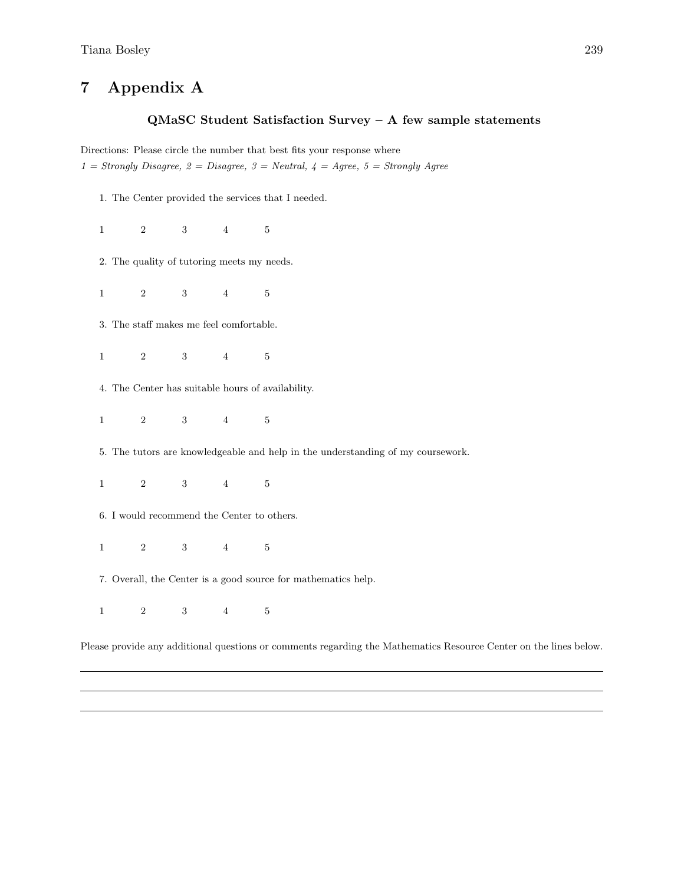# 7 Appendix A

#### QMaSC Student Satisfaction Survey – A few sample statements

Directions: Please circle the number that best fits your response where  $1 =$  Strongly Disagree,  $2 =$  Disagree,  $3 =$  Neutral,  $4 =$  Agree,  $5 =$  Strongly Agree

- 1. The Center provided the services that I needed.
- 1 2 3 4 5
- 2. The quality of tutoring meets my needs.

1 2 3 4 5

- 3. The staff makes me feel comfortable.
- 1 2 3 4 5
- 4. The Center has suitable hours of availability.
- 1 2 3 4 5
- 5. The tutors are knowledgeable and help in the understanding of my coursework.
- 1 2 3 4 5
- 6. I would recommend the Center to others.
- 1 2 3 4 5
- 7. Overall, the Center is a good source for mathematics help.
- 1 2 3 4 5

Please provide any additional questions or comments regarding the Mathematics Resource Center on the lines below.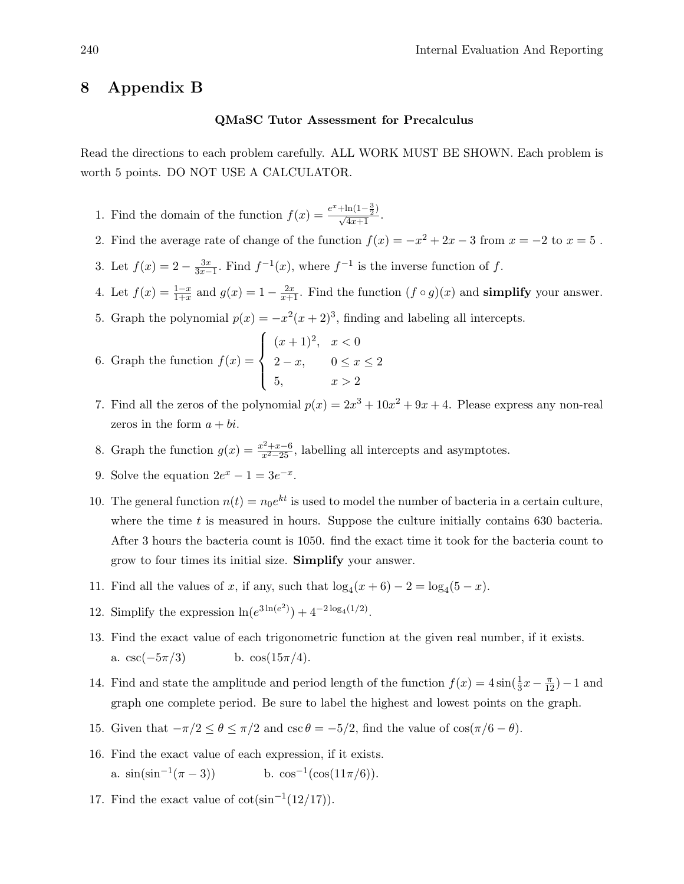### 8 Appendix B

#### QMaSC Tutor Assessment for Precalculus

Read the directions to each problem carefully. ALL WORK MUST BE SHOWN. Each problem is worth 5 points. DO NOT USE A CALCULATOR.

- 1. Find the domain of the function  $f(x) = \frac{e^x + \ln(1-\frac{3}{2})}{\sqrt{4x+1}}$ .
- 2. Find the average rate of change of the function  $f(x) = -x^2 + 2x 3$  from  $x = -2$  to  $x = 5$ .
- 3. Let  $f(x) = 2 \frac{3x}{3x-1}$ . Find  $f^{-1}(x)$ , where  $f^{-1}$  is the inverse function of f.
- 4. Let  $f(x) = \frac{1-x}{1+x}$  and  $g(x) = 1 \frac{2x}{x+1}$ . Find the function  $(f \circ g)(x)$  and **simplify** your answer.
- 5. Graph the polynomial  $p(x) = -x^2(x+2)^3$ , finding and labeling all intercepts.

6. Graph the function 
$$
f(x) = \begin{cases} (x+1)^2, & x < 0 \\ 2-x, & 0 \le x \le 2 \\ 5, & x > 2 \end{cases}
$$

- 7. Find all the zeros of the polynomial  $p(x) = 2x^3 + 10x^2 + 9x + 4$ . Please express any non-real zeros in the form  $a + bi$ .
- 8. Graph the function  $g(x) = \frac{x^2 + x 6}{x^2 25}$ , labelling all intercepts and asymptotes.
- 9. Solve the equation  $2e^x 1 = 3e^{-x}$ .
- 10. The general function  $n(t) = n_0 e^{kt}$  is used to model the number of bacteria in a certain culture, where the time  $t$  is measured in hours. Suppose the culture initially contains 630 bacteria. After 3 hours the bacteria count is 1050. find the exact time it took for the bacteria count to grow to four times its initial size. Simplify your answer.
- 11. Find all the values of x, if any, such that  $\log_4(x+6) 2 = \log_4(5-x)$ .
- 12. Simplify the expression  $\ln(e^{3\ln(e^2)}) + 4^{-2\log_4(1/2)}$ .
- 13. Find the exact value of each trigonometric function at the given real number, if it exists. a. csc( $-5\pi/3$ ) b. cos( $15\pi/4$ ).
- 14. Find and state the amplitude and period length of the function  $f(x) = 4\sin(\frac{1}{3}x \frac{\pi}{12}) 1$  and graph one complete period. Be sure to label the highest and lowest points on the graph.
- 15. Given that  $-\pi/2 \le \theta \le \pi/2$  and  $\csc \theta = -\frac{5}{2}$ , find the value of  $\cos(\pi/6 \theta)$ .
- 16. Find the exact value of each expression, if it exists. a.  $\sin(\sin^{-1}(\pi-3))$  $(\pi - 3)$ ) b. cos<sup>-1</sup>(cos(11 $\pi/6$ )).
- 17. Find the exact value of  $\cot(\sin^{-1}(12/17))$ .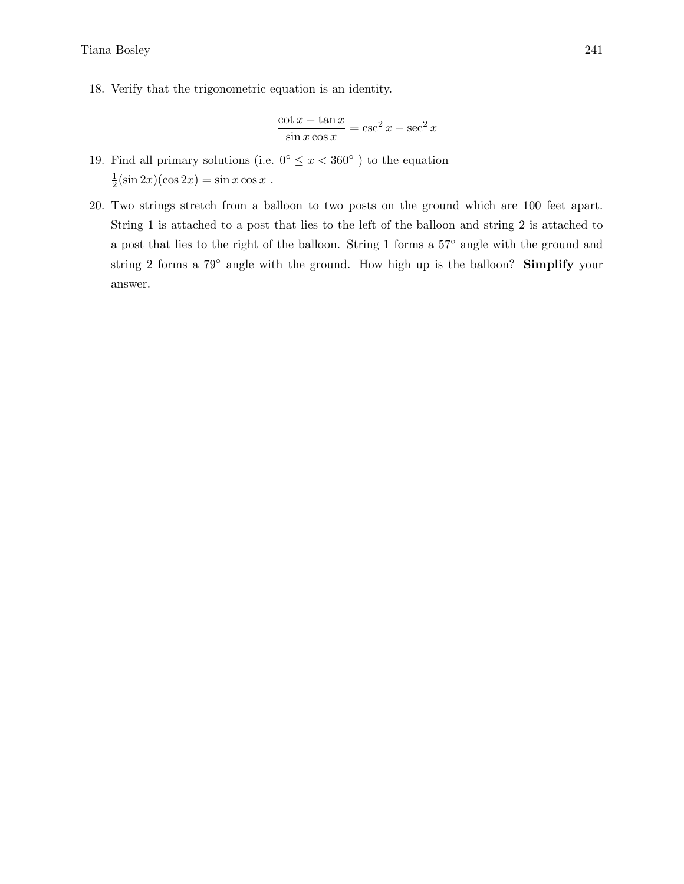Tiana Bosley 241

18. Verify that the trigonometric equation is an identity.

$$
\frac{\cot x - \tan x}{\sin x \cos x} = \csc^2 x - \sec^2 x
$$

- 19. Find all primary solutions (i.e.  $0^{\circ} \leq x < 360^{\circ}$ ) to the equation 1  $\frac{1}{2}(\sin 2x)(\cos 2x) = \sin x \cos x$ .
- 20. Two strings stretch from a balloon to two posts on the ground which are 100 feet apart. String 1 is attached to a post that lies to the left of the balloon and string 2 is attached to a post that lies to the right of the balloon. String 1 forms a 57◦ angle with the ground and string 2 forms a 79° angle with the ground. How high up is the balloon? Simplify your answer.